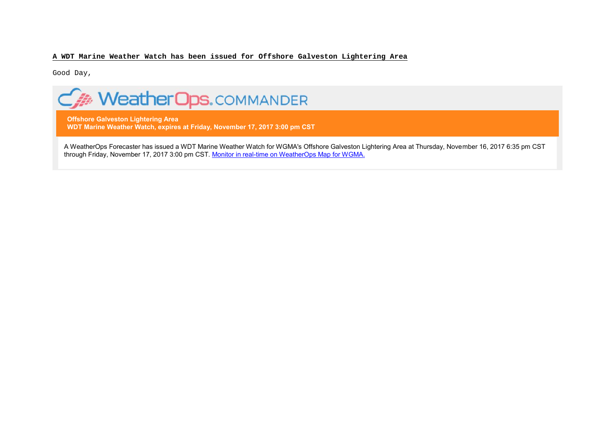## **A WDT Marine Weather Watch has been issued for Offshore Galveston Lightering Area**

Good Day,



**Offshore Galveston Lightering Area WDT Marine Weather Watch, expires at Friday, November 17, 2017 3:00 pm CST**

A WeatherOps Forecaster has issued a WDT Marine Weather Watch for WGMA's Offshore Galveston Lightering Area at Thursday, November 16, 2017 6:35 pm CST through Friday, November 17, 2017 3:00 pm CST. Monitor in real-time on WeatherOps Map for WGMA.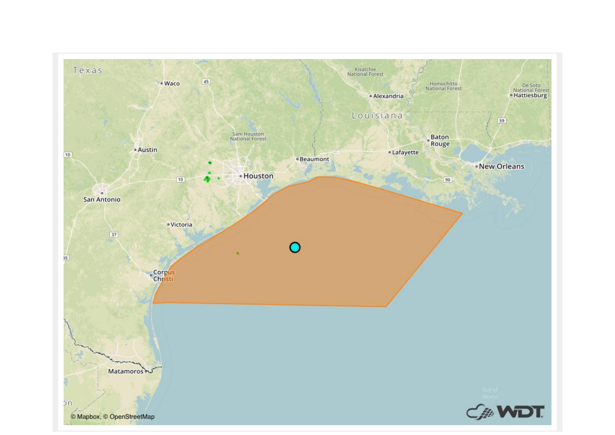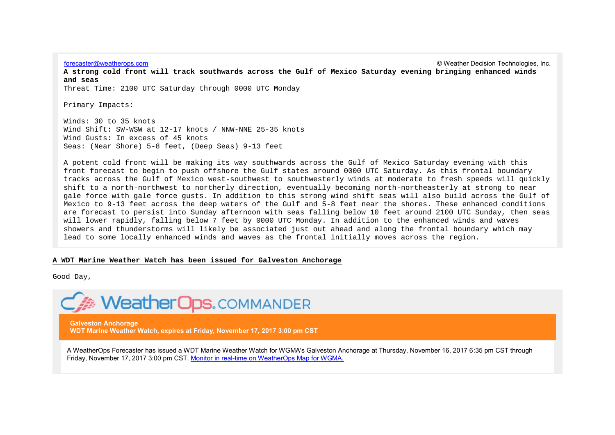forecaster@weatherops.com © Weather Decision Technologies, Inc. **A strong cold front will track southwards across the Gulf of Mexico Saturday evening bringing enhanced winds and seas**

Threat Time: 2100 UTC Saturday through 0000 UTC Monday

Primary Impacts:

Winds: 30 to 35 knots Wind Shift: SW-WSW at 12-17 knots / NNW-NNE 25-35 knots Wind Gusts: In excess of 45 knots Seas: (Near Shore) 5-8 feet, (Deep Seas) 9-13 feet

A potent cold front will be making its way southwards across the Gulf of Mexico Saturday evening with this front forecast to begin to push offshore the Gulf states around 0000 UTC Saturday. As this frontal boundary tracks across the Gulf of Mexico west-southwest to southwesterly winds at moderate to fresh speeds will quickly shift to a north-northwest to northerly direction, eventually becoming north-northeasterly at strong to near gale force with gale force gusts. In addition to this strong wind shift seas will also build across the Gulf of Mexico to 9-13 feet across the deep waters of the Gulf and 5-8 feet near the shores. These enhanced conditions are forecast to persist into Sunday afternoon with seas falling below 10 feet around 2100 UTC Sunday, then seas will lower rapidly, falling below 7 feet by 0000 UTC Monday. In addition to the enhanced winds and waves showers and thunderstorms will likely be associated just out ahead and along the frontal boundary which may lead to some locally enhanced winds and waves as the frontal initially moves across the region.

## **A WDT Marine Weather Watch has been issued for Galveston Anchorage**

Good Day,



**Galveston Anchorage WDT Marine Weather Watch, expires at Friday, November 17, 2017 3:00 pm CST**

A WeatherOps Forecaster has issued a WDT Marine Weather Watch for WGMA's Galveston Anchorage at Thursday, November 16, 2017 6:35 pm CST through Friday, November 17, 2017 3:00 pm CST. Monitor in real-time on WeatherOps Map for WGMA.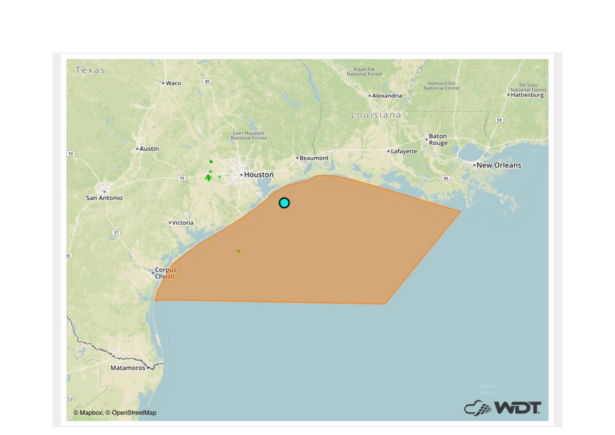